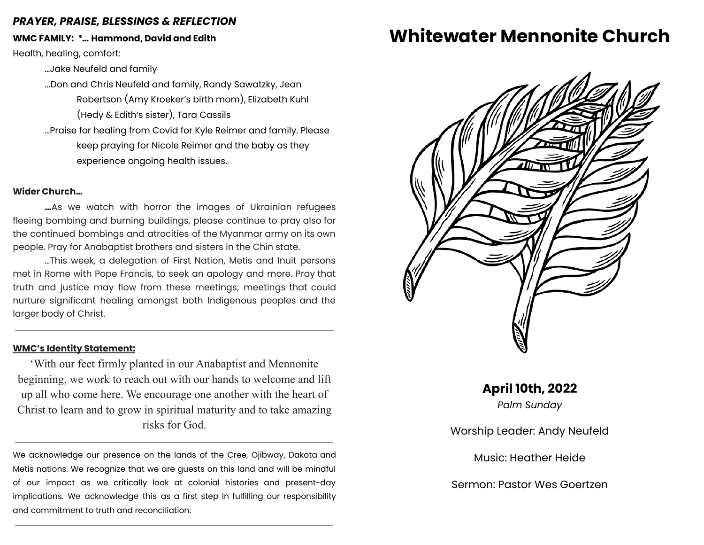### *PRAYER, PRAISE, BLESSINGS & REFLECTION*

#### **WMC FAMILY:** *\*…* **Hammond, David and Edith**

Health, healing, comfort:

…Jake Neufeld and family

...Don and Chris Neufeld and family, Randy Sawatzky, Jean Robertson (Amy Kroeker's birth mom), Elizabeth Kuhl (Hedy & Edith's sister), Tara Cassils

…Praise for healing from Covid for Kyle Reimer and family. Please keep praying for Nicole Reimer and the baby as they experience ongoing health issues.

#### **Wider Church…**

**…**As we watch with horror the images of Ukrainian refugees fleeing bombing and burning buildings, please continue to pray also for the continued bombings and atrocities of the Myanmar army on its own people. Pray for Anabaptist brothers and sisters in the Chin state.

…This week, a delegation of First Nation, Metis and Inuit persons met in Rome with Pope Francis, to seek an apology and more. Pray that truth and justice may flow from these meetings; meetings that could nurture significant healing amongst both Indigenous peoples and the larger body of Christ.

#### **WMC's Identity Statement:**

'With our feet firmly planted in our Anabaptist and Mennonite beginning, we work to reach out with our hands to welcome and lift up all who come here. We encourage one another with the heart of Christ to learn and to grow in spiritual maturity and to take amazing risks for God.

We acknowledge our presence on the lands of the Cree, Ojibway, Dakota and Metis nations. We recognize that we are guests on this land and will be mindful of our impact as we critically look at colonial histories and present-day implications. We acknowledge this as a first step in fulfilling our responsibility and commitment to truth and reconciliation.

# **Whitewater Mennonite Church**



**April 10th, 2022**

*Palm Sunday*

Worship Leader: Andy Neufeld

Music: Heather Heide

Sermon: Pastor Wes Goertzen